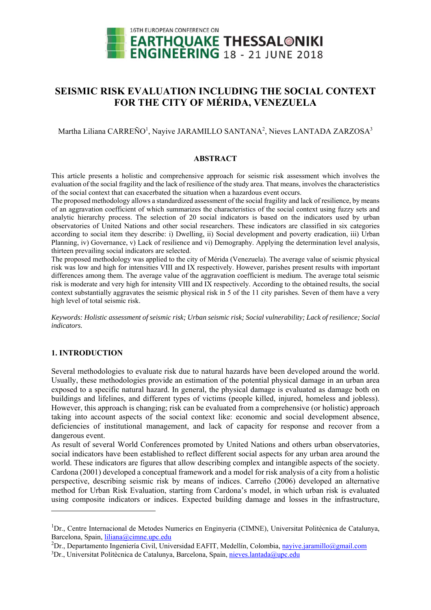

# **SEISMIC RISK EVALUATION INCLUDING THE SOCIAL CONTEXT FOR THE CITY OF MÉRIDA, VENEZUELA**

Martha Liliana CARREÑO<sup>1</sup>, Nayive JARAMILLO SANTANA<sup>2</sup>, Nieves LANTADA ZARZOSA<sup>3</sup>

### **ABSTRACT**

This article presents a holistic and comprehensive approach for seismic risk assessment which involves the evaluation of the social fragility and the lack of resilience of the study area. That means, involves the characteristics of the social context that can exacerbated the situation when a hazardous event occurs.

The proposed methodology allows a standardized assessment of the social fragility and lack of resilience, by means of an aggravation coefficient of which summarizes the characteristics of the social context using fuzzy sets and analytic hierarchy process. The selection of 20 social indicators is based on the indicators used by urban observatories of United Nations and other social researchers. These indicators are classified in six categories according to social item they describe: i) Dwelling, ii) Social development and poverty eradication, iii) Urban Planning, iv) Governance, v) Lack of resilience and vi) Demography. Applying the determination level analysis, thirteen prevailing social indicators are selected.

The proposed methodology was applied to the city of Mérida (Venezuela). The average value of seismic physical risk was low and high for intensities VIII and IX respectively. However, parishes present results with important differences among them. The average value of the aggravation coefficient is medium. The average total seismic risk is moderate and very high for intensity VIII and IX respectively. According to the obtained results, the social context substantially aggravates the seismic physical risk in 5 of the 11 city parishes. Seven of them have a very high level of total seismic risk.

*Keywords: Holistic assessment of seismic risk; Urban seismic risk; Social vulnerability; Lack of resilience; Social indicators.* 

# **1. INTRODUCTION**

-

Several methodologies to evaluate risk due to natural hazards have been developed around the world. Usually, these methodologies provide an estimation of the potential physical damage in an urban area exposed to a specific natural hazard. In general, the physical damage is evaluated as damage both on buildings and lifelines, and different types of victims (people killed, injured, homeless and jobless). However, this approach is changing; risk can be evaluated from a comprehensive (or holistic) approach taking into account aspects of the social context like: economic and social development absence, deficiencies of institutional management, and lack of capacity for response and recover from a dangerous event.

As result of several World Conferences promoted by United Nations and others urban observatories, social indicators have been established to reflect different social aspects for any urban area around the world. These indicators are figures that allow describing complex and intangible aspects of the society. Cardona (2001) developed a conceptual framework and a model for risk analysis of a city from a holistic perspective, describing seismic risk by means of indices. Carreño (2006) developed an alternative method for Urban Risk Evaluation, starting from Cardona's model, in which urban risk is evaluated using composite indicators or indices. Expected building damage and losses in the infrastructure,

<sup>&</sup>lt;sup>1</sup>Dr., Centre Internacional de Metodes Numerics en Enginyeria (CIMNE), Universitat Politècnica de Catalunya, Barcelona, Spain, liliana@cimne.upc.edu 2

<sup>&</sup>lt;sup>2</sup>Dr., Departamento Ingeniería Civil, Universidad EAFIT, Medellín, Colombia, nayive.jaramillo@gmail.com

<sup>&</sup>lt;sup>3</sup>Dr., Universitat Politècnica de Catalunya, Barcelona, Spain, nieves.lantada@upc.edu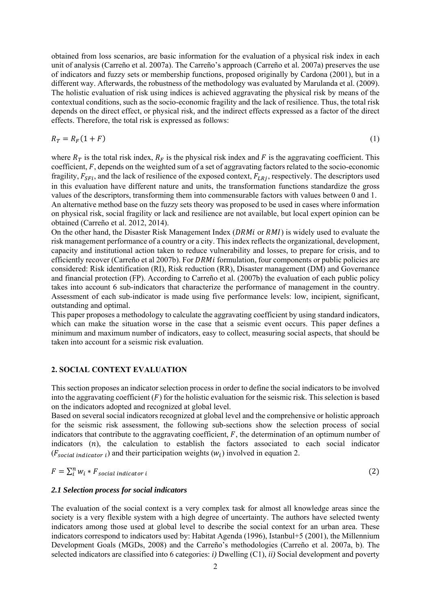obtained from loss scenarios, are basic information for the evaluation of a physical risk index in each unit of analysis (Carreño et al. 2007a). The Carreño's approach (Carreño et al. 2007a) preserves the use of indicators and fuzzy sets or membership functions, proposed originally by Cardona (2001), but in a different way. Afterwards, the robustness of the methodology was evaluated by Marulanda et al. (2009). The holistic evaluation of risk using indices is achieved aggravating the physical risk by means of the contextual conditions, such as the socio-economic fragility and the lack of resilience. Thus, the total risk depends on the direct effect, or physical risk, and the indirect effects expressed as a factor of the direct effects. Therefore, the total risk is expressed as follows:

$$
R_T = R_F(1 + F) \tag{1}
$$

where  $R_T$  is the total risk index,  $R_F$  is the physical risk index and F is the aggravating coefficient. This coefficient,  $F$ , depends on the weighted sum of a set of aggravating factors related to the socio-economic fragility,  $F_{SFi}$ , and the lack of resilience of the exposed context,  $F_{LRj}$ , respectively. The descriptors used in this evaluation have different nature and units, the transformation functions standardize the gross values of the descriptors, transforming them into commensurable factors with values between 0 and 1. An alternative method base on the fuzzy sets theory was proposed to be used in cases where information on physical risk, social fragility or lack and resilience are not available, but local expert opinion can be

obtained (Carreño et al. 2012, 2014).

On the other hand, the Disaster Risk Management Index ( $DRMi$  or  $RMI$ ) is widely used to evaluate the risk management performance of a country or a city. This index reflects the organizational, development, capacity and institutional action taken to reduce vulnerability and losses, to prepare for crisis, and to efficiently recover (Carreño et al 2007b). For DRM*i* formulation, four components or public policies are considered: Risk identification (RI), Risk reduction (RR), Disaster management (DM) and Governance and financial protection (FP). According to Carreño et al. (2007b) the evaluation of each public policy takes into account 6 sub-indicators that characterize the performance of management in the country. Assessment of each sub-indicator is made using five performance levels: low, incipient, significant, outstanding and optimal.

This paper proposes a methodology to calculate the aggravating coefficient by using standard indicators, which can make the situation worse in the case that a seismic event occurs. This paper defines a minimum and maximum number of indicators, easy to collect, measuring social aspects, that should be taken into account for a seismic risk evaluation.

# **2. SOCIAL CONTEXT EVALUATION**

This section proposes an indicator selection process in order to define the social indicators to be involved into the aggravating coefficient  $(F)$  for the holistic evaluation for the seismic risk. This selection is based on the indicators adopted and recognized at global level.

Based on several social indicators recognized at global level and the comprehensive or holistic approach for the seismic risk assessment, the following sub-sections show the selection process of social indicators that contribute to the aggravating coefficient,  $F$ , the determination of an optimum number of indicators  $(n)$ , the calculation to establish the factors associated to each social indicator  $(F_{social\ indicator\ i})$  and their participation weights  $(w_i)$  involved in equation 2.

$$
F = \sum_{i}^{n} w_{i} * F_{social\ indicator\ i} \tag{2}
$$

# *2.1 Selection process for social indicators*

The evaluation of the social context is a very complex task for almost all knowledge areas since the society is a very flexible system with a high degree of uncertainty. The authors have selected twenty indicators among those used at global level to describe the social context for an urban area. These indicators correspond to indicators used by: Habitat Agenda (1996), Istanbul+5 (2001), the Millennium Development Goals (MGDs, 2008) and the Carreño's methodologies (Carreño et al. 2007a, b). The selected indicators are classified into 6 categories: *i)* Dwelling (C1), *ii)* Social development and poverty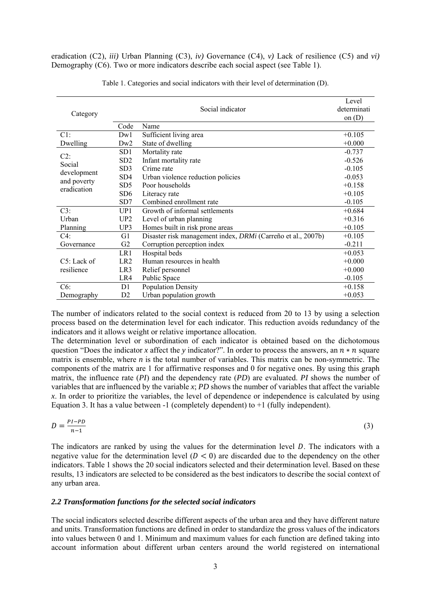eradication (C2), *iii)* Urban Planning (C3), *iv)* Governance (C4), *v)* Lack of resilience (C5) and *vi)* Demography (C6). Two or more indicators describe each social aspect (see Table 1).

|                            |                 | Social indicator                                             | Level<br>determinati |
|----------------------------|-----------------|--------------------------------------------------------------|----------------------|
| Category                   |                 |                                                              | on $(D)$             |
|                            | Code            | Name                                                         |                      |
| C1:                        | Dw1             | Sufficient living area                                       | $+0.105$             |
| Dwelling                   | Dw2             | State of dwelling                                            | $+0.000$             |
| $C2$ :                     | SD1             | Mortality rate                                               | $-0.737$             |
| Social                     | SD <sub>2</sub> | Infant mortality rate                                        | $-0.526$             |
|                            | SD3             | Crime rate                                                   | $-0.105$             |
| development                | SD <sub>4</sub> | Urban violence reduction policies                            | $-0.053$             |
| and poverty<br>eradication | SD <sub>5</sub> | Poor households                                              | $+0.158$             |
|                            | SD <sub>6</sub> | Literacy rate                                                | $+0.105$             |
|                            | SD7             | Combined enrollment rate                                     | $-0.105$             |
| C3:                        | UP1             | Growth of informal settlements                               | $+0.684$             |
| Urban                      | UP <sub>2</sub> | Level of urban planning                                      | $+0.316$             |
| Planning                   | UP3             | Homes built in risk prone areas                              | $+0.105$             |
| C4:                        | G1              | Disaster risk management index, DRMi (Carreño et al., 2007b) | $+0.105$             |
| Governance                 | G2              | Corruption perception index                                  | $-0.211$             |
|                            | LR1             | Hospital beds                                                | $+0.053$             |
| $C5$ : Lack of             | LR <sub>2</sub> | Human resources in health                                    | $+0.000$             |
| resilience                 | LR <sub>3</sub> | Relief personnel                                             | $+0.000$             |
|                            | LR4             | Public Space                                                 | $-0.105$             |
| C6:                        | D <sub>1</sub>  | Population Density                                           | $+0.158$             |
| Demography                 | D <sub>2</sub>  | Urban population growth                                      | $+0.053$             |

Table 1. Categories and social indicators with their level of determination (D).

The number of indicators related to the social context is reduced from 20 to 13 by using a selection process based on the determination level for each indicator. This reduction avoids redundancy of the indicators and it allows weight or relative importance allocation.

The determination level or subordination of each indicator is obtained based on the dichotomous question "Does the indicator x affect the *y* indicator?". In order to process the answers, an  $n * n$  square matrix is ensemble, where *n* is the total number of variables. This matrix can be non-symmetric. The components of the matrix are 1 for affirmative responses and 0 for negative ones. By using this graph matrix, the influence rate (*PI*) and the dependency rate (*PD*) are evaluated. *PI* shows the number of variables that are influenced by the variable *x*; *PD* shows the number of variables that affect the variable *x*. In order to prioritize the variables, the level of dependence or independence is calculated by using Equation 3. It has a value between -1 (completely dependent) to  $+1$  (fully independent).

$$
D = \frac{p_I - p_D}{n - 1} \tag{3}
$$

The indicators are ranked by using the values for the determination level  $D$ . The indicators with a negative value for the determination level  $(D < 0)$  are discarded due to the dependency on the other indicators. Table 1 shows the 20 social indicators selected and their determination level. Based on these results, 13 indicators are selected to be considered as the best indicators to describe the social context of any urban area.

#### *2.2 Transformation functions for the selected social indicators*

The social indicators selected describe different aspects of the urban area and they have different nature and units. Transformation functions are defined in order to standardize the gross values of the indicators into values between 0 and 1. Minimum and maximum values for each function are defined taking into account information about different urban centers around the world registered on international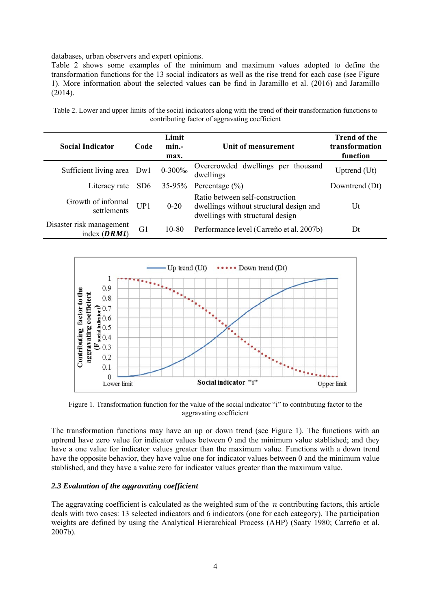databases, urban observers and expert opinions.

Table 2 shows some examples of the minimum and maximum values adopted to define the transformation functions for the 13 social indicators as well as the rise trend for each case (see Figure 1). More information about the selected values can be find in Jaramillo et al. (2016) and Jaramillo (2014).

| <b>Social Indicator</b>                    | Code            | Limit<br>min.-<br>max. | Unit of measurement                                                                                            | <b>Trend of the</b><br>transformation<br>function |
|--------------------------------------------|-----------------|------------------------|----------------------------------------------------------------------------------------------------------------|---------------------------------------------------|
| Sufficient living area Dwl                 |                 | $0 - 300\%$            | Overcrowded dwellings per thousand<br>dwellings                                                                | Uptrend (Ut)                                      |
| Literacy rate                              | SD <sub>6</sub> | $35-95%$               | Percentage $(\% )$                                                                                             | Downtrend (Dt)                                    |
| Growth of informal<br>settlements          | UP1             | $0 - 20$               | Ratio between self-construction<br>dwellings without structural design and<br>dwellings with structural design | Ut                                                |
| Disaster risk management<br>index $(DRMi)$ | G <sub>1</sub>  | 10-80                  | Performance level (Carreño et al. 2007b)                                                                       | Dt                                                |

Table 2. Lower and upper limits of the social indicators along with the trend of their transformation functions to contributing factor of aggravating coefficient



Figure 1. Transformation function for the value of the social indicator "i" to contributing factor to the aggravating coefficient

The transformation functions may have an up or down trend (see Figure 1). The functions with an uptrend have zero value for indicator values between 0 and the minimum value stablished; and they have a one value for indicator values greater than the maximum value. Functions with a down trend have the opposite behavior, they have value one for indicator values between 0 and the minimum value stablished, and they have a value zero for indicator values greater than the maximum value.

### *2.3 Evaluation of the aggravating coefficient*

The aggravating coefficient is calculated as the weighted sum of the  $n$  contributing factors, this article deals with two cases: 13 selected indicators and 6 indicators (one for each category). The participation weights are defined by using the Analytical Hierarchical Process (AHP) (Saaty 1980; Carreño et al. 2007b).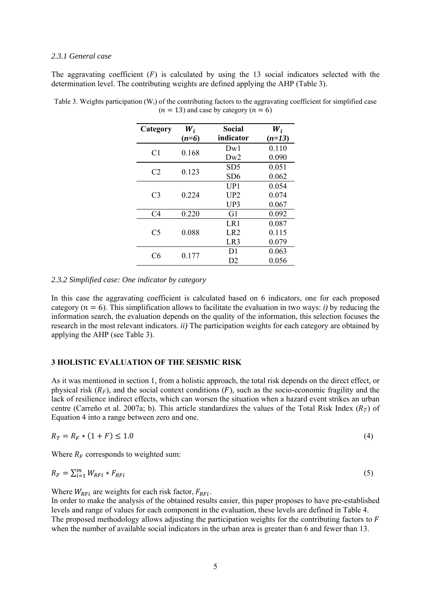### *2.3.1 General case*

The aggravating coefficient  $(F)$  is calculated by using the 13 social indicators selected with the determination level. The contributing weights are defined applying the AHP (Table 3).

| Category       | $W_i$   | Social          | $W_i$    |
|----------------|---------|-----------------|----------|
|                | $(n=6)$ | indicator       | $(n=13)$ |
| C <sub>1</sub> | 0.168   | Dw1             | 0.110    |
|                |         | Dw2             | 0.090    |
| C2             | 0.123   | SD <sub>5</sub> | 0.051    |
|                |         | SD6             | 0.062    |
|                |         | UP1             | 0.054    |
| C <sub>3</sub> | 0.224   | UP2             | 0.074    |
|                |         | UP3             | 0.067    |
| C <sub>4</sub> | 0.220   | G1              | 0.092    |
|                |         | LR1             | 0.087    |
| C <sub>5</sub> | 0.088   | LR <sub>2</sub> | 0.115    |
|                |         | LR3             | 0.079    |
| C6             |         | D <sub>1</sub>  | 0.063    |
|                | 0.177   | D2              | 0.056    |

Table 3. Weights participation (Wi) of the contributing factors to the aggravating coefficient for simplified case  $(n = 13)$  and case by category  $(n = 6)$ 

#### *2.3.2 Simplified case: One indicator by category*

In this case the aggravating coefficient is calculated based on 6 indicators, one for each proposed category ( $n = 6$ ). This simplification allows to facilitate the evaluation in two ways: *i*) by reducing the information search, the evaluation depends on the quality of the information, this selection focuses the research in the most relevant indicators. *ii)* The participation weights for each category are obtained by applying the AHP (see Table 3).

### **3 HOLISTIC EVALUATION OF THE SEISMIC RISK**

As it was mentioned in section 1, from a holistic approach, the total risk depends on the direct effect, or physical risk  $(R_F)$ , and the social context conditions  $(F)$ , such as the socio-economic fragility and the lack of resilience indirect effects, which can worsen the situation when a hazard event strikes an urban centre (Carreño et al. 2007a; b). This article standardizes the values of the Total Risk Index ( $R<sub>T</sub>$ ) of Equation 4 into a range between zero and one.

$$
R_T = R_F * (1 + F) \le 1.0 \tag{4}
$$

Where  $R_F$  corresponds to weighted sum:

$$
R_F = \sum_{i=1}^{m} W_{RFi} * F_{RFi}
$$
\n<sup>(5)</sup>

Where  $W_{RFi}$  are weights for each risk factor,  $F_{RFi}$ .

In order to make the analysis of the obtained results easier, this paper proposes to have pre-established levels and range of values for each component in the evaluation, these levels are defined in Table 4. The proposed methodology allows adjusting the participation weights for the contributing factors to  $\vec{F}$ when the number of available social indicators in the urban area is greater than 6 and fewer than 13.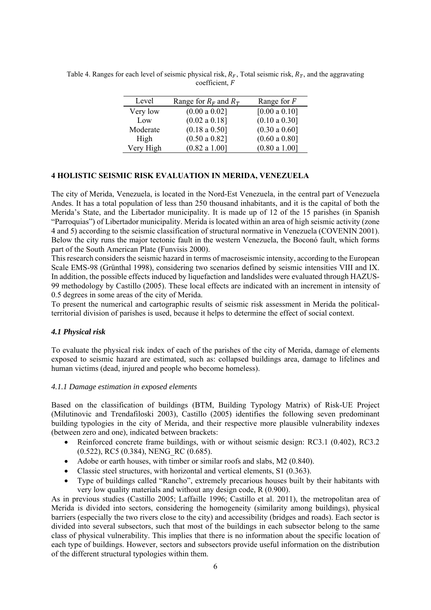| Level     | Range for $R_F$ and $R_T$ | Range for $F$ |
|-----------|---------------------------|---------------|
| Very low  | (0.00 a 0.02]             | [0.00 a 0.10] |
| Low       | (0.02 a 0.18]             | (0.10 a 0.30] |
| Moderate  | $(0.18 \text{ a } 0.50]$  | (0.30 a 0.60] |
| High      | (0.50 a 0.82]             | (0.60 a 0.80] |
| Very High | (0.82 a 1.00]             | (0.80 a 1.00] |

Table 4. Ranges for each level of seismic physical risk,  $R_F$ , Total seismic risk,  $R_T$ , and the aggravating  $coefficient, F$ 

# **4 HOLISTIC SEISMIC RISK EVALUATION IN MERIDA, VENEZUELA**

The city of Merida, Venezuela, is located in the Nord-Est Venezuela, in the central part of Venezuela Andes. It has a total population of less than 250 thousand inhabitants, and it is the capital of both the Merida's State, and the Libertador municipality. It is made up of 12 of the 15 parishes (in Spanish "Parroquias") of Libertador municipality. Merida is located within an area of high seismic activity (zone 4 and 5) according to the seismic classification of structural normative in Venezuela (COVENIN 2001). Below the city runs the major tectonic fault in the western Venezuela, the Boconó fault, which forms part of the South American Plate (Funvisis 2000).

This research considers the seismic hazard in terms of macroseismic intensity, according to the European Scale EMS-98 (Grünthal 1998), considering two scenarios defined by seismic intensities VIII and IX. In addition, the possible effects induced by liquefaction and landslides were evaluated through HAZUS-99 methodology by Castillo (2005). These local effects are indicated with an increment in intensity of 0.5 degrees in some areas of the city of Merida.

To present the numerical and cartographic results of seismic risk assessment in Merida the politicalterritorial division of parishes is used, because it helps to determine the effect of social context.

### *4.1 Physical risk*

To evaluate the physical risk index of each of the parishes of the city of Merida, damage of elements exposed to seismic hazard are estimated, such as: collapsed buildings area, damage to lifelines and human victims (dead, injured and people who become homeless).

### *4.1.1 Damage estimation in exposed elements*

Based on the classification of buildings (BTM, Building Typology Matrix) of Risk-UE Project (Milutinovic and Trendafiloski 2003), Castillo (2005) identifies the following seven predominant building typologies in the city of Merida, and their respective more plausible vulnerability indexes (between zero and one), indicated between brackets:

- Reinforced concrete frame buildings, with or without seismic design: RC3.1 (0.402), RC3.2 (0.522), RC5 (0.384), NENG\_RC (0.685).
- Adobe or earth houses, with timber or similar roofs and slabs, M2 (0.840).
- Classic steel structures, with horizontal and vertical elements, S1 (0.363).
- Type of buildings called "Rancho", extremely precarious houses built by their habitants with very low quality materials and without any design code, R (0.900).

As in previous studies (Castillo 2005; Laffaille 1996; Castillo et al. 2011), the metropolitan area of Merida is divided into sectors, considering the homogeneity (similarity among buildings), physical barriers (especially the two rivers close to the city) and accessibility (bridges and roads). Each sector is divided into several subsectors, such that most of the buildings in each subsector belong to the same class of physical vulnerability. This implies that there is no information about the specific location of each type of buildings. However, sectors and subsectors provide useful information on the distribution of the different structural typologies within them.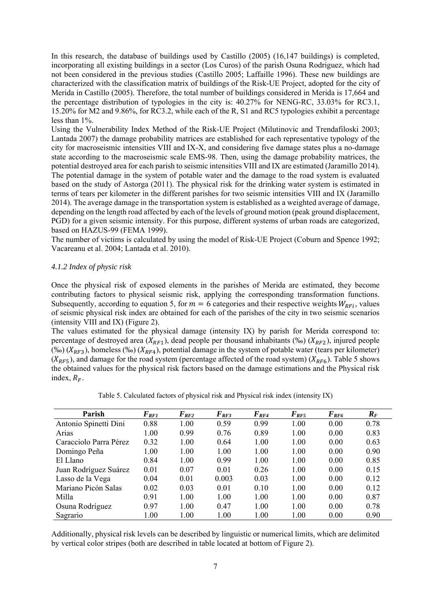In this research, the database of buildings used by Castillo (2005) (16,147 buildings) is completed, incorporating all existing buildings in a sector (Los Curos) of the parish Osuna Rodriguez, which had not been considered in the previous studies (Castillo 2005; Laffaille 1996). These new buildings are characterized with the classification matrix of buildings of the Risk-UE Project, adopted for the city of Merida in Castillo (2005). Therefore, the total number of buildings considered in Merida is 17,664 and the percentage distribution of typologies in the city is: 40.27% for NENG-RC, 33.03% for RC3.1, 15.20% for M2 and 9.86%, for RC3.2, while each of the R, S1 and RC5 typologies exhibit a percentage less than 1%.

Using the Vulnerability Index Method of the Risk-UE Project (Milutinovic and Trendafiloski 2003; Lantada 2007) the damage probability matrices are established for each representative typology of the city for macroseismic intensities VIII and IX-X, and considering five damage states plus a no-damage state according to the macroseismic scale EMS-98. Then, using the damage probability matrices, the potential destroyed area for each parish to seismic intensities VIII and IX are estimated (Jaramillo 2014). The potential damage in the system of potable water and the damage to the road system is evaluated based on the study of Astorga (2011). The physical risk for the drinking water system is estimated in terms of tears per kilometer in the different parishes for two seismic intensities VIII and IX (Jaramillo 2014). The average damage in the transportation system is established as a weighted average of damage, depending on the length road affected by each of the levels of ground motion (peak ground displacement, PGD) for a given seismic intensity. For this purpose, different systems of urban roads are categorized, based on HAZUS-99 (FEMA 1999).

The number of victims is calculated by using the model of Risk-UE Project (Coburn and Spence 1992; Vacareanu et al. 2004; Lantada et al. 2010).

# *4.1.2 Index of physic risk*

Once the physical risk of exposed elements in the parishes of Merida are estimated, they become contributing factors to physical seismic risk, applying the corresponding transformation functions. Subsequently, according to equation 5, for  $m = 6$  categories and their respective weights  $W_{RFi}$ , values of seismic physical risk index are obtained for each of the parishes of the city in two seismic scenarios (intensity VIII and IX) (Figure 2).

The values estimated for the physical damage (intensity IX) by parish for Merida correspond to: percentage of destroyed area ( $X_{RF1}$ ), dead people per thousand inhabitants (‰) ( $X_{RF2}$ ), injured people (‰) ( $X_{RF3}$ ), homeless (‰) ( $X_{RF4}$ ), potential damage in the system of potable water (tears per kilometer)  $(X_{RF5})$ , and damage for the road system (percentage affected of the road system) ( $X_{RF6}$ ). Table 5 shows the obtained values for the physical risk factors based on the damage estimations and the Physical risk index,  $R_F$ .

| Parish                 | $\boldsymbol{F}_{\boldsymbol{R}\boldsymbol{F}\boldsymbol{I}}$ | $F_{RF2}$ | $F_{RF3}$ | $F_{RF4}$ | $F_{RF5}$ | $F_{RF6}$ | $R_F$ |
|------------------------|---------------------------------------------------------------|-----------|-----------|-----------|-----------|-----------|-------|
| Antonio Spinetti Dini  | 0.88                                                          | 1.00      | 0.59      | 0.99      | 1.00      | 0.00      | 0.78  |
| Arias                  | 1.00                                                          | 0.99      | 0.76      | 0.89      | 1.00      | 0.00      | 0.83  |
| Caracciolo Parra Pérez | 0.32                                                          | 1.00      | 0.64      | 1.00      | 1.00      | 0.00      | 0.63  |
| Domingo Peña           | 1.00                                                          | 1.00      | 1.00      | 1.00      | 1.00      | 0.00      | 0.90  |
| El Llano               | 0.84                                                          | 1.00      | 0.99      | 1.00      | 1.00      | 0.00      | 0.85  |
| Juan Rodríguez Suárez  | 0.01                                                          | 0.07      | 0.01      | 0.26      | 1.00      | 0.00      | 0.15  |
| Lasso de la Vega       | 0.04                                                          | 0.01      | 0.003     | 0.03      | 1.00      | 0.00      | 0.12  |
| Mariano Picón Salas    | 0.02                                                          | 0.03      | 0.01      | 0.10      | 1.00      | 0.00      | 0.12  |
| Milla                  | 0.91                                                          | 1.00      | 1.00      | 1.00      | 1.00      | 0.00      | 0.87  |
| Osuna Rodríguez        | 0.97                                                          | 1.00      | 0.47      | 1.00      | 1.00      | 0.00      | 0.78  |
| Sagrario               | 1.00                                                          | 1.00      | 1.00      | 1.00      | 1.00      | 0.00      | 0.90  |

Table 5. Calculated factors of physical risk and Physical risk index (intensity IX)

Additionally, physical risk levels can be described by linguistic or numerical limits, which are delimited by vertical color stripes (both are described in table located at bottom of Figure 2).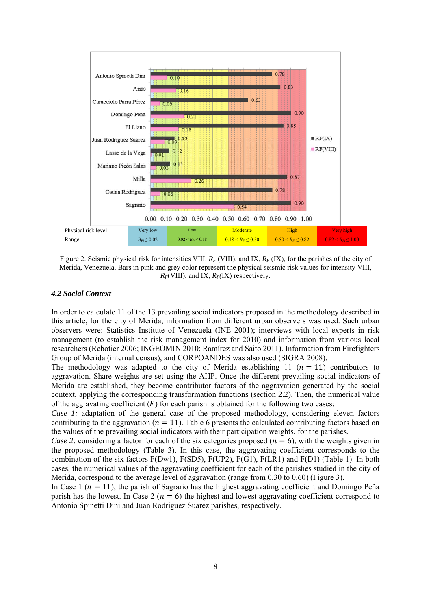

Figure 2. Seismic physical risk for intensities VIII,  $R_F$  (VIII), and IX,  $R_F$  (IX), for the parishes of the city of Merida, Venezuela. Bars in pink and grey color represent the physical seismic risk values for intensity VIII,  $R_F$ (VIII), and IX,  $R_F$ (IX) respectively.

### *4.2 Social Context*

In order to calculate 11 of the 13 prevailing social indicators proposed in the methodology described in this article, for the city of Merida, information from different urban observers was used. Such urban observers were: Statistics Institute of Venezuela (INE 2001); interviews with local experts in risk management (to establish the risk management index for 2010) and information from various local researchers (Rebotier 2006; INGEOMIN 2010; Ramírez and Saito 2011). Information from Firefighters Group of Merida (internal census), and CORPOANDES was also used (SIGRA 2008).

The methodology was adapted to the city of Merida establishing 11  $(n = 11)$  contributors to aggravation. Share weights are set using the AHP. Once the different prevailing social indicators of Merida are established, they become contributor factors of the aggravation generated by the social context, applying the corresponding transformation functions (section 2.2). Then, the numerical value of the aggravating coefficient  $(F)$  for each parish is obtained for the following two cases:

*Case 1:* adaptation of the general case of the proposed methodology, considering eleven factors contributing to the aggravation ( $n = 11$ ). Table 6 presents the calculated contributing factors based on the values of the prevailing social indicators with their participation weights, for the parishes.

*Case 2:* considering a factor for each of the six categories proposed ( $n = 6$ ), with the weights given in the proposed methodology (Table 3). In this case, the aggravating coefficient corresponds to the combination of the six factors  $F(Dw1)$ ,  $F(SD5)$ ,  $F(UP2)$ ,  $F(G1)$ ,  $F(LR1)$  and  $F(D1)$  (Table 1). In both cases, the numerical values of the aggravating coefficient for each of the parishes studied in the city of Merida, correspond to the average level of aggravation (range from 0.30 to 0.60) (Figure 3).

In Case 1 ( $n = 11$ ), the parish of Sagrario has the highest aggravating coefficient and Domingo Peña parish has the lowest. In Case 2 ( $n = 6$ ) the highest and lowest aggravating coefficient correspond to Antonio Spinetti Dini and Juan Rodriguez Suarez parishes, respectively.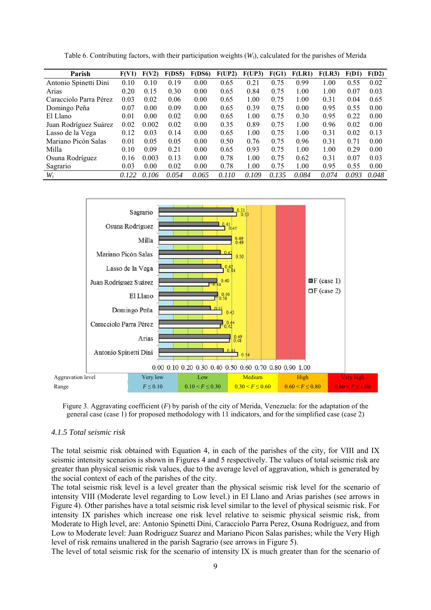| Parish                 | F(V1) | F(V2) | F(DSS) | F(DS6) | F(UP2) | F(UP3) | F(G1) | <b>F(LR1)</b> | F(LR3) | F(D1) | F(D2) |
|------------------------|-------|-------|--------|--------|--------|--------|-------|---------------|--------|-------|-------|
| Antonio Spinetti Dini  | 0.10  | 0.10  | 0.19   | 0.00   | 0.65   | 0.21   | 0.75  | 0.99          | 1.00   | 0.55  | 0.02  |
| Arias                  | 0.20  | 0.15  | 0.30   | 0.00   | 0.65   | 0.84   | 0.75  | 1.00          | 1.00   | 0.07  | 0.03  |
| Caracciolo Parra Pérez | 0.03  | 0.02  | 0.06   | 0.00   | 0.65   | 1.00   | 0.75  | 1.00          | 0.31   | 0.04  | 0.65  |
| Domingo Peña           | 0.07  | 0.00  | 0.09   | 0.00   | 0.65   | 0.39   | 0.75  | 0.00          | 0.95   | 0.55  | 0.00  |
| El Llano               | 0.01  | 0.00  | 0.02   | 0.00   | 0.65   | 1.00   | 0.75  | 0.30          | 0.95   | 0.22  | 0.00  |
| Juan Rodríguez Suárez  | 0.02  | 0.002 | 0.02   | 0.00   | 0.35   | 0.89   | 0.75  | 1.00          | 0.96   | 0.02  | 0.00  |
| Lasso de la Vega       | 0.12  | 0.03  | 0.14   | 0.00   | 0.65   | 1.00   | 0.75  | 1.00          | 0.31   | 0.02  | 0.13  |
| Mariano Picón Salas    | 0.01  | 0.05  | 0.05   | 0.00   | 0.50   | 0.76   | 0.75  | 0.96          | 0.31   | 0.71  | 0.00  |
| Milla                  | 0.10  | 0.09  | 0.21   | 0.00   | 0.65   | 0.93   | 0.75  | 1.00          | 1.00   | 0.29  | 0.00  |
| Osuna Rodríguez        | 0.16  | 0.003 | 0.13   | 0.00   | 0.78   | 1.00   | 0.75  | 0.62          | 0.31   | 0.07  | 0.03  |
| Sagrario               | 0.03  | 0.00  | 0.02   | 0.00   | 0.78   | 1.00   | 0.75  | 1.00          | 0.95   | 0.55  | 0.00  |
| $W_i$                  | 0.122 | 0.106 | 0.054  | 0.065  | 0.110  | 0.109  | 0.135 | 0.084         | 0.074  | 0.093 | 0.048 |

Table 6. Contributing factors, with their participation weights (*Wi*), calculated for the parishes of Merida



Figure 3. Aggravating coefficient (*F*) by parish of the city of Merida, Venezuela: for the adaptation of the general case (case 1) for proposed methodology with 11 indicators, and for the simplified case (case 2)

### *4.1.5 Total seismic risk*

The total seismic risk obtained with Equation 4, in each of the parishes of the city, for VIII and IX seismic intensity scenarios is shown in Figures 4 and 5 respectively. The values of total seismic risk are greater than physical seismic risk values, due to the average level of aggravation, which is generated by the social context of each of the parishes of the city.

The total seismic risk level is a level greater than the physical seismic risk level for the scenario of intensity VIII (Moderate level regarding to Low level.) in El Llano and Arias parishes (see arrows in Figure 4). Other parishes have a total seismic risk level similar to the level of physical seismic risk. For intensity IX parishes which increase one risk level relative to seismic physical seismic risk, from Moderate to High level, are: Antonio Spinetti Dini, Caracciolo Parra Perez, Osuna Rodríguez, and from Low to Moderate level: Juan Rodriguez Suarez and Mariano Picon Salas parishes; while the Very High level of risk remains unaltered in the parish Sagrario (see arrows in Figure 5).

The level of total seismic risk for the scenario of intensity IX is much greater than for the scenario of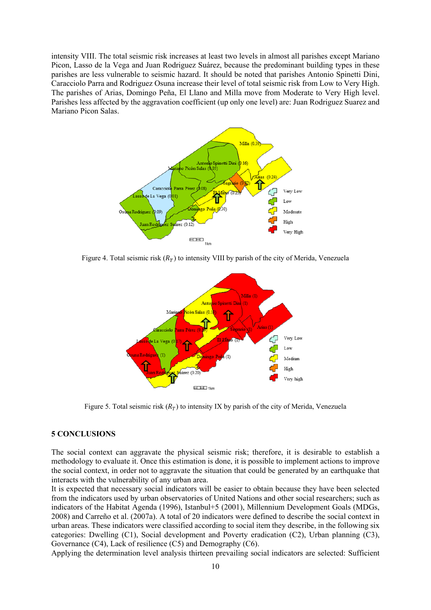intensity VIII. The total seismic risk increases at least two levels in almost all parishes except Mariano Picon, Lasso de la Vega and Juan Rodriguez Suárez, because the predominant building types in these parishes are less vulnerable to seismic hazard. It should be noted that parishes Antonio Spinetti Dini, Caracciolo Parra and Rodriguez Osuna increase their level of total seismic risk from Low to Very High. The parishes of Arias, Domingo Peña, El Llano and Milla move from Moderate to Very High level. Parishes less affected by the aggravation coefficient (up only one level) are: Juan Rodriguez Suarez and Mariano Picon Salas.



Figure 4. Total seismic risk  $(R_T)$  to intensity VIII by parish of the city of Merida, Venezuela



Figure 5. Total seismic risk  $(R_T)$  to intensity IX by parish of the city of Merida, Venezuela

### **5 CONCLUSIONS**

The social context can aggravate the physical seismic risk; therefore, it is desirable to establish a methodology to evaluate it. Once this estimation is done, it is possible to implement actions to improve the social context, in order not to aggravate the situation that could be generated by an earthquake that interacts with the vulnerability of any urban area.

It is expected that necessary social indicators will be easier to obtain because they have been selected from the indicators used by urban observatories of United Nations and other social researchers; such as indicators of the Habitat Agenda (1996), Istanbul+5 (2001), Millennium Development Goals (MDGs, 2008) and Carreño et al. (2007a). A total of 20 indicators were defined to describe the social context in urban areas. These indicators were classified according to social item they describe, in the following six categories: Dwelling (C1), Social development and Poverty eradication (C2), Urban planning (C3), Governance (C4), Lack of resilience (C5) and Demography (C6).

Applying the determination level analysis thirteen prevailing social indicators are selected: Sufficient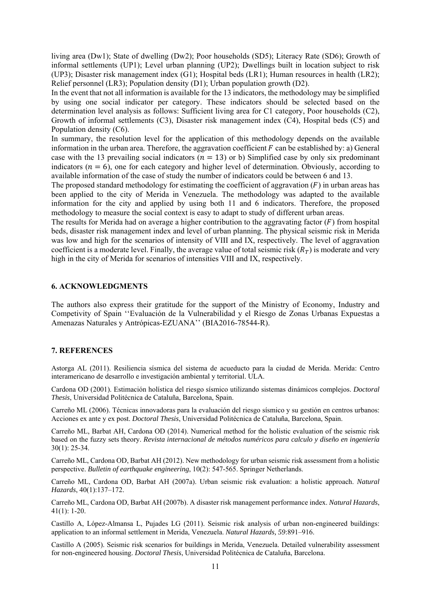living area (Dw1); State of dwelling (Dw2); Poor households (SD5); Literacy Rate (SD6); Growth of informal settlements (UP1); Level urban planning (UP2); Dwellings built in location subject to risk (UP3); Disaster risk management index (G1); Hospital beds (LR1); Human resources in health (LR2); Relief personnel (LR3); Population density (D1); Urban population growth (D2).

In the event that not all information is available for the 13 indicators, the methodology may be simplified by using one social indicator per category. These indicators should be selected based on the determination level analysis as follows: Sufficient living area for C1 category, Poor households (C2), Growth of informal settlements (C3), Disaster risk management index (C4), Hospital beds (C5) and Population density (C6).

In summary, the resolution level for the application of this methodology depends on the available information in the urban area. Therefore, the aggravation coefficient  $F$  can be established by: a) General case with the 13 prevailing social indicators ( $n = 13$ ) or b) Simplified case by only six predominant indicators ( $n = 6$ ), one for each category and higher level of determination. Obviously, according to available information of the case of study the number of indicators could be between 6 and 13.

The proposed standard methodology for estimating the coefficient of aggravation  $(F)$  in urban areas has been applied to the city of Merida in Venezuela. The methodology was adapted to the available information for the city and applied by using both 11 and 6 indicators. Therefore, the proposed methodology to measure the social context is easy to adapt to study of different urban areas.

The results for Merida had on average a higher contribution to the aggravating factor  $(F)$  from hospital beds, disaster risk management index and level of urban planning. The physical seismic risk in Merida was low and high for the scenarios of intensity of VIII and IX, respectively. The level of aggravation coefficient is a moderate level. Finally, the average value of total seismic risk  $(R_T)$  is moderate and very high in the city of Merida for scenarios of intensities VIII and IX, respectively.

#### **6. ACKNOWLEDGMENTS**

The authors also express their gratitude for the support of the Ministry of Economy, Industry and Competivity of Spain ''Evaluación de la Vulnerabilidad y el Riesgo de Zonas Urbanas Expuestas a Amenazas Naturales y Antrópicas-EZUANA'' (BIA2016-78544-R).

#### **7. REFERENCES**

Astorga AL (2011). Resiliencia sísmica del sistema de acueducto para la ciudad de Merida. Merida: Centro interamericano de desarrollo e investigación ambiental y territorial. ULA.

Cardona OD (2001). Estimación holística del riesgo sísmico utilizando sistemas dinámicos complejos. *Doctoral Thesis*, Universidad Politécnica de Cataluña, Barcelona, Spain.

Carreño ML (2006). Técnicas innovadoras para la evaluación del riesgo sísmico y su gestión en centros urbanos: Acciones ex ante y ex post. *Doctoral Thesis*, Universidad Politécnica de Cataluña, Barcelona, Spain.

Carreño ML, Barbat AH, Cardona OD (2014). Numerical method for the holistic evaluation of the seismic risk based on the fuzzy sets theory. *Revista internacional de métodos numéricos para calculo y diseño en ingeniería* 30(1): 25-34.

Carreño ML, Cardona OD, Barbat AH (2012). New methodology for urban seismic risk assessment from a holistic perspective. *Bulletin of earthquake engineering*, 10(2): 547-565. Springer Netherlands.

Carreño ML, Cardona OD, Barbat AH (2007a). Urban seismic risk evaluation: a holistic approach. *Natural Hazards*, 40(1):137–172.

Carreño ML, Cardona OD, Barbat AH (2007b). A disaster risk management performance index. *Natural Hazards*, 41(1): 1-20.

Castillo A, López-Almansa L, Pujades LG (2011). Seismic risk analysis of urban non-engineered buildings: application to an informal settlement in Merida, Venezuela. *Natural Hazards, 59*:891–916.

Castillo A (2005). Seismic risk scenarios for buildings in Merida, Venezuela. Detailed vulnerability assessment for non-engineered housing. *Doctoral Thesis*, Universidad Politécnica de Cataluña, Barcelona.